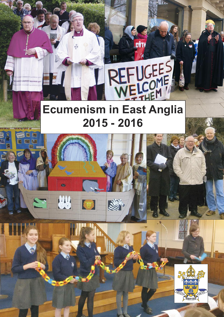# **Ecumenism in East Anglia 2015 - 2016**

REFUGEES



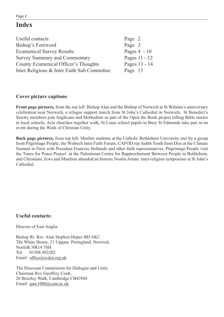# **Index**

| Useful contacts                             | Page 2         |
|---------------------------------------------|----------------|
| Bishop's Foreword                           | Page 3         |
| <b>Ecumenical Survey Results</b>            | Pages $4 - 10$ |
| <b>Survey Summary and Commentary</b>        | Pages 11 - 12  |
| County Ecumenical Officer's Thoughts        | Pages 13 - 14  |
| Inter Religious & Inter Faith Sub Committee | Page 15        |

# **Cover picture captions**

**Front page pictures,** from the top left: Bishop Alan and the Bishop of Norwich at St Walstan's anniversary celebration near Norwich, a refugee support march from St John's Cathedral in Norwich, St Benedict's Sawtry members join Anglicans and Methodists as part of the Open the Book project telling Bible stories in local schools, Acle churches together walk, St Louis school pupils in Bury St Edmunds take part in an event during the Week of Christian Unity.

**Back page pictures,** from top left: Muslim students at the Catholic Bethlehem University met by a group from Pilgrimage People, the Wisbech Inter Faith Forum, CAFOD rep Judith Tooth from Diss at the Climate Summit in Paris with President Francois Hollande and other faith representatives, Pilgrimage People visit the Tunes for Peace Project at the Palestinian Centre for Rapprochement Between People in Bethlehem, and Christians, Jews and Muslims attended an historic Nostra Aetate inter-religion symposium at St John's Cathedral.

# **Useful contacts:**

Diocese of East Anglia

Bishop Rt. Rev. Alan Stephen Hopes BD AKC The White House, 21 Upgate, Poringland, Norwich, Norfolk NR14 7SH Tel: 01508 492202 Email: office@rcdea.org.uk

The Diocesan Commission for Dialogue and Unity Chairman Rev Geoffrey Cook, 20 Brierley Walk, Cambridge CB43NH Email: gmc1000@cam.ac.uk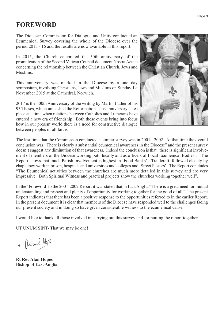# **FOREWORD**

The Diocesan Commission for Dialogue and Unity conducted an Ecumenical Survey covering the whole of the Diocese over the period 2015 - 16 and the results are now available in this report.

In 2015, the Church celebrated the 50th anniversary of the promulgation of the Second Vatican Council document Nostra Aetate concerning the relationship between the Christian Church, Jews and Muslims.

This anniversary was marked in the Diocese by a one day symposium, involving Christians, Jews and Muslims on Sunday 1st November 2015 at the Cathedral, Norwich.

2017 is the 500th Anniversary of the writing by Martin Luther of his 95 Theses, which unleashed the Reformation. This anniversary takes place at a time when relations between Catholics and Lutherans have entered a new era of friendship. Both these events bring into focus how in our present world there is a need for constructive dialogue between peoples of all faiths.



The last time that the Commission conducted a similar survey was in 2001 - 2002. At that time the overall conclusion was "There is clearly a substantial ecumenical awareness in the Diocese" and the present survey doesn't suggest any diminution of that awareness. Indeed the conclusion is that "there is significant involvement of members of the Diocese working both locally and as officers of Local Ecumenical Bodies". The Report shows that much Parish involvement is highest in 'Food Banks', 'Traidcraft' followed closely by chaplaincy work in prison, hospitals and universities and colleges and 'Street Pastors'. The Report concludes "The Ecumenical activities between the churches are much more detailed in this survey and are very impressive. Both Spiritual Witness and practical projects show the churches working together well".

In the 'Foreword'to the 2001-2002 Report it was stated that in East Anglia "There is a great need for mutual understanding and respect and plenty of opportunity for working together for the good of all". The present Report indicates that there has been a positive response to the opportunities referred to in the earlier Report. In the present document it is clear that members of the Diocese have responded well to the challenges facing our present society and in doing so have given considerable witness to the ecumenical cause.

I would like to thank all those involved in carrying out this survey and for putting the report together.

UT UNUM SINT- That we may be one!

+ Oland. Hope

**Rt Rev Alan Hopes Bishop of East Anglia**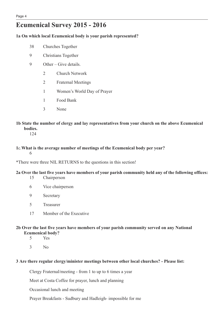# **Ecumenical Survey 2015 - 2016**

# **1a On which local Ecumenical body is your parish represented?**

- 38 Churches Together
- 9 Christians Together
- 9 Other Give details.
	- 2 Church Network
	- 2 Fraternal Meetings
	- 1 Women's World Day of Prayer
	- 1 Food Bank
	- 3 None
- **1b State the number of clergy and lay representatives from your church on the above Ecumenical bodies.**

124

**1**c.**What is the average number of meetings of the Ecumenical body per year?** 6

\*There were three NIL RETURNS to the questions in this section!

#### 2a Over the last five years have members of your parish community held any of the following offices:

- 15 Chairperson
- 6 Vice chairperson
- 9 Secretary
- 5 Treasurer
- 17 Member of the Executive
- **2b Over the last five years have members of your parish community served on any National Ecumenical body?**
	- 5 Yes
	- 3 No

#### **3 Are there regular clergy/minister meetings between other local churches? - Please list:**

Clergy Fraternal/meeting - from 1 to up to 6 times a year

Meet at Costa Coffee for prayer, lunch and planning

Occasional lunch and meeting

Prayer Breakfasts - Sudbury and Hadleigh- impossible for me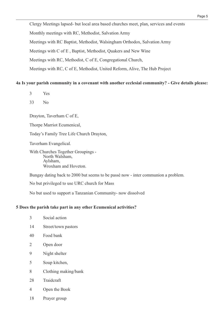Clergy Meetings lapsed- but local area based churches meet, plan, services and events Monthly meetings with RC, Methodist, Salvation Army Meetings with RC Baptist, Methodist, Walsingham Orthodox, Salvation Army Meetings with C of E , Baptist, Methodist, Quakers and New Wine Meetings with RC, Methodist, C of E, Congregational Church, Meetings with RC, C of E, Methodist, United Reform, Alive, The Hub Project

#### **4a Is your parish community in a covenant with another ecclesial community? - Give details please:**

- 3 Yes
- 33 No

Drayton, Taverham C of E,

Thorpe Marriot Ecumenical,

Today's Family Tree Life Church Drayton,

Taverham Evangelical.

With Churches Together Groupings - North Walsham, Aylsham, Wroxham and Hoveton.

Bungay dating back to 2000 but seems to be passé now - inter communion a problem.

No but privileged to use URC church for Mass

No but used to support a Tanzanian Community- now dissolved

#### **5 Does the parish take part in any other Ecumenical activities?**

| 3 | Social action |  |
|---|---------------|--|
|   |               |  |

- 14 Street/town pastors
- 40 Food bank
- 2 Open door
- 9 Night shelter
- 5 Soup kitchen,
- 8 Clothing making/bank
- 28 Traidcraft
- 4 Open the Book
- 18 Prayer group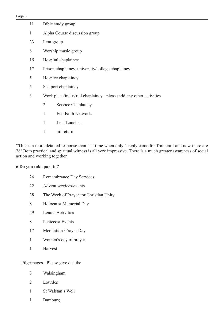| 11 |                | Bible study group                                                  |
|----|----------------|--------------------------------------------------------------------|
| 1  |                | Alpha Course discussion group                                      |
| 33 | Lent group     |                                                                    |
| 8  |                | Worship music group                                                |
| 15 |                | Hospital chaplaincy                                                |
| 17 |                | Prison chaplaincy, university/college chaplaincy                   |
| 5  |                | Hospice chaplaincy                                                 |
| 5  |                | Sea port chaplaincy                                                |
| 3  |                | Work place/industrial chaplaincy - please add any other activities |
|    | $\overline{2}$ | Service Chaplaincy                                                 |
|    | 1              | Eco Faith Network.                                                 |
|    | 1              | Lent Lunches                                                       |
|    | $\mathbf{1}$   | nil return                                                         |

\*This is a more detailed response than last time when only 1 reply came for Traidcraft and now there are 28! Both practical and spiritual witness is all very impressive. There is a much greater awareness of social action and working together

# **Do you take part in?**

- Remembrance Day Services,
- Advent services/events
- The Week of Prayer for Christian Unity
- Holocaust Memorial Day
- Lenten Activities
- Pentecost Events
- Meditation /Prayer Day
- Women's day of prayer
- Harvest

Pilgrimages - Please give details:

- Walsingham
- Lourdes
- St Walstan's Well
- Bamburg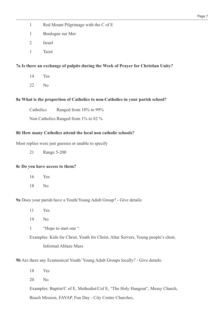- 1 Red Mount Pilgrimage with the C of E
- 1 Boulogne sur Mer
- 2 Israel
- 1 Taizé

# **7a Is there an exchange of pulpits during the Week of Prayer for Christian Unity?**

- 14 Yes
- 22 No

# **8a What is the proportion of Catholics to non-Catholics in your parish school?**

Catholics Ranged from 18% to 99%

Non Catholics Ranged from 1% to 82 %

#### **8b How many Catholics attend the local non catholic schools?**

Most replies were just guesses or unable to specify

21 Range 5-200

#### **8c Do you have access to them?**

- 16 Yes
- 18 No

**9a** Does your parish have a Youth/Young Adult Group? - Give details:

- 11 Yes
- 19 No
- 1 "Hope to start one ".

Examples: Kids for Christ, Youth for Christ, Altar Servers, Young people's choir, Informal Ablaze Mass

**9b** Are there any Ecumenical Youth/ Young Adult Groups locally? - Give details:

- 18 Yes
- 20 No

Examples: Baptist/C of E, Methodist/Cof E, "The Holy Hangout", Messy Church,

Beach Mission, FAYAP, Fun Day - City Centre Churches,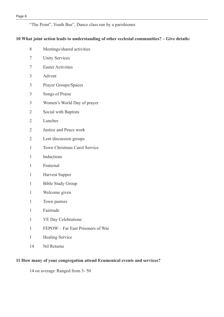"The Point", Youth Bus", Dance class run by a parishioner.

#### **What joint action leads to understanding of other ecclesial communities? – Give details:**

 Unity Services Easter Activities Advent Prayer Groups/Spaces Songs of Praise Women's World Day of prayer Social with Baptists Lunches Justice and Peace work Lent discussion groups Town Christmas Carol Service Inductions Fraternal Harvest Supper Bible Study Group Welcome given Town pastors Fairtrade VE Day Celebrations FEPOW – Far East Prisoners of War Healing Service

Meetings/shared activities

Nil Returns

# **How many of your congregation attend Ecumenical events and services?**

on average Ranged from 3- 50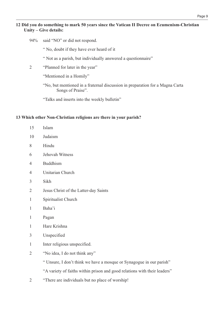#### Page 9

#### **Did you do something to mark 50 years since the Vatican II Decree on Ecumenism-Christian Unity – Give details:**

- 94% said "NO" or did not respond.
	- " No, doubt if they have ever heard of it
	- " Not as a parish, but individually answered a questionnaire"
- "Planned for later in the year"

"Mentioned in a Homily"

"No, but mentioned in a fraternal discussion in preparation for a Magna Carta Songs of Praise".

"Talks and inserts into the weekly bulletin"

#### **Which other Non-Christian religions are there in your parish?**

- Islam Judaism Hindu Jehovah Witness Buddhism Unitarian Church Sikh Jesus Christ of the Latter-day Saints Spiritualist Church
- Baha'i
- Pagan
- Hare Krishna
- Unspecified
- Inter religious unspecified.
- "No idea, I do not think any"

" Unsure, I don't think we have a mosque or Synagogue in our parish"

"A variety of faiths within prison and good relations with their leaders"

"There are individuals but no place of worship!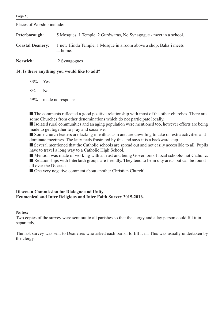Places of Worship include:

| Peterborough:           | 5 Mosques, 1 Temple, 2 Gurdwaras, No Synagogue - meet in a school.            |
|-------------------------|-------------------------------------------------------------------------------|
| <b>Coastal Deanery:</b> | 1 new Hindu Temple, 1 Mosque in a room above a shop, Baha'i meets<br>at home. |
| Norwich:                | 2 Synagogues                                                                  |

**14. Is there anything you would like to add?**

- 33% Yes
- 8% No
- 59% made no response

■ The comments reflected a good positive relationship with most of the other churches. There are some Churches from other denominations which do not participate locally.

■ Isolated rural communities and an aging population were mentioned too, however efforts are being made to get together to pray and socialise.

■ Some church leaders are lacking in enthusiasm and are unwilling to take on extra activities and dominate meetings. The laity feels frustrated by this and says it is a backward step.

■ Several mentioned that the Catholic schools are spread out and not easily accessible to all. Pupils have to travel a long way to a Catholic High School.

■ Mention was made of working with a Trust and being Governors of local schools- not Catholic.

■ Relationships with Interfaith groups are friendly. They tend to be in city areas but can be found all over the Diocese.

■ One very negative comment about another Christian Church!

# **Diocesan Commission for Dialogue and Unity Ecumenical and Inter Religious and Inter Faith Survey 2015-2016.**

#### **Notes:**

Two copies of the survey were sent out to all parishes so that the clergy and a lay person could fill it in separately.

The last survey was sent to Deaneries who asked each parish to fill it in. This was usually undertaken by the clergy.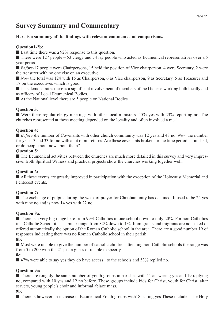# **Survey Summary and Commentary**

# **Here is a summary of the findings with relevant comments and comparisons.**

# **Question1-2b**:

■ Last time there was a 92% response to this question.

 $\blacksquare$  There were 127 people – 53 clergy and 74 lay people who acted as Ecumenical representatives over a 5 year period.

■ *Before*-17 people were Chairpersons, 15 held the position of Vice chairperson, 4 were Secretary, 2 were the treasurer with no one else on an executive.

■ *Now* the total was 124 with 15 as Chairperson, 6 as Vice chairperson, 9 as Secretary, 5 as Treasurer and 17 on the executives which is good.

■ This demonstrates there is a significant involvement of members of the Diocese working both locally and as officers of Local Ecumenical Bodies.

■ At the National level there are 5 people on National Bodies.

# **Question 3**:

■ Were there regular clergy meetings with other local ministers- 45% yes with 23% reporting no. The churches represented at these meeting depended on the locality and often involved a meal.

# **Question 4:**

■ *Before* the number of Covenants with other church community was 12 yes and 43 no. *Now* the number for yes is 3 and 33 for no with a lot of nil returns. Are these covenants broken, or the time period is finished, or do people not know about them?

# **Question 5**:

■ The Ecumenical activities between the churches are much more detailed in this survey and very impressive. Both Spiritual Witness and practical projects show the churches working together well.

# **Question 6:**

■ All these events are greatly improved in participation with the exception of the Holocaust Memorial and Pentecost events.

# **Question 7:**

■ The exchange of pulpits during the week of prayer for Christian unity has declined. It used to be 24 yes with nine no and is now 14 yes with 22 no.

# **Question 8a:**

■ There is a very big range here from 99% Catholics in one school down to only 20%. For non-Catholics in a Catholic School it is a similar range from 82% down to 1%. Immigrants and migrants are not asked or offered automatically the option of the Roman Catholic school in the area. There are a good number 19 of responses indicating there was no Roman Catholic school in their parish.

# **8b:**

■ Most were unable to give the number of catholic children attending non-Catholic schools the range was from 5 to 200 with the 21 just a guess or unable to specify.

#### **8c**:

■ 47% were able to say yes they do have access to the schools and 53% replied no.

# **Question 9a:**

■ There are roughly the same number of youth groups in parishes with 11 answering yes and 19 replying no, compared with 10 yes and 12 no before. These groups include kids for Christ, youth for Christ, altar servers, young people's choir and informal ablaze mass.

# **9b**:

■ There is however an increase in Ecumenical Youth groups with 18 stating yes These include "The Holy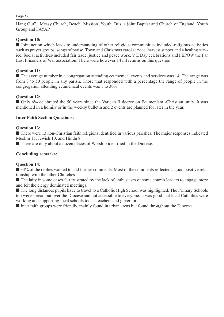Hang Out",, Messy Church, Beach Mission ,Youth Bus, a joint Baptist and Church of England Youth Group and FAYAP.

# **Question 10:**

■ Joint action which leads to understanding of other religious communities included-religious activities such as prayer groups, songs of praise, Town and Christmas carol service, harvest supper and a healing service. **S**ocial activities-included fair trade, justice and peace work, V E Day celebrations and FEPOW the Far East Prisoners of War association. There were however 14 nil returns on this question.

# **Question 11:**

■ The average number in a congregation attending ecumenical events and services was 14. The range was from 3 to 50 people in any parish. Those that responded with a percentage the range of people in the congregation attending ecumenical events was 1 to 30%.

# **Question 12:**

■ Only 6% celebrated the 50 years since the Vatican II decree on Ecumenism -Christian unity. It was mentioned in a homily or in the weekly bulletin and 2 events are planned for later in the year.

# **Inter Faith Section Questions:**

# **Question 13**:

■ There were 13 non-Christian faith religions identified in various parishes. The major responses indicated Muslim 15, Jewish 10, and Hindu 8.

■ There are only about a dozen places of Worship identified in the Diocese.

# **Concluding remarks:**

# **Question 14**:

■ 33% of the replies wanted to add further comments. Most of the comments reflected a good positive relationship with the other Churches.

■ The laity in some cases felt frustrated by the lack of enthusiasm of some church leaders to engage more and felt the clergy dominated meetings.

■ The long distances pupils have to travel to a Catholic High School was highlighted. The Primary Schools too were spread out over the Diocese and not accessible to everyone. It was good that local Catholics were working and supporting local schools too as teachers and governors.

■ Inter faith groups were friendly, mainly found in urban areas but found throughout the Diocese.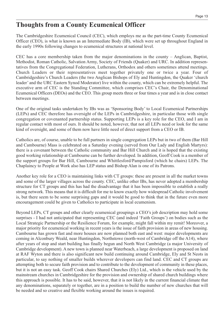# **Thoughts from a County Ecumenical Officer**

The Cambridgeshire Ecumenical Council (CEC), which employs me as the part-time County Ecumenical Officer (CEO), is what is known as an Intermediate Body (IB), which were set up throughout England in the early 1990s following changes to ecumenical structures at national level.

CEC has a core membership taken from the major denominations in the county – Anglican, Baptist, Methodist, Roman Catholic, Salvation Army, Society of Friends (Quaker) and URC. In addition representatives from the Congregational Federation, Lutherans, Orthodox and others sometimes attend meetings. Church Leaders or their representatives meet together privately one or twice a year. Four of Cambridgeshire's Church Leaders (the two Anglican Bishops of Ely and Huntingdon, the Quaker 'church leader' and the URC Eastern Synod Moderator) live within the county, which can be extremely helpful. The executive arm of CEC is the Standing Committee, which comprises CEC's Chair, the Denominational Ecumenical Officers (DEOs) and the CEO. This group meets three or four times a year and is in close contact between meetings.

One of the original tasks undertaken by IBs was as 'Sponsoring Body' to Local Ecumenical Partnerships (LEPs) and CEC therefore has oversight of the LEPs in Cambridgeshire, in particular those with single congregation or covenanted partnership status. Supporting LEPs is a key role for the CEO, and I am in regular contact with most of ours. It should be noted, however, that not all LEPs need or look for the same kind of oversight, and some of them now have little need of direct support from a CEO or IB.

Catholics are, of course, unable to be full partners in single congregation LEPs but in two of them (Bar Hill and Cambourne) Mass is celebrated on a Saturday evening (served from Our Lady and English Martyrs): there is a covenant between the Catholic community and Bar Hill Church and it is hoped that the existing good working relationship at Cambourne can be further developed. In addition, Geoff Cook is a member of the support groups for Bar Hill, Cambourne and Whittlesford/Pampisford (which he chairs) LEPs. The Chaplaincy to People at Work also has LEP status and Bishop Alan is one of its Patrons.

Another key role for a CEO is maintaining links with CT groups: these are present in all the market towns and some of the larger villages across the county. CEC, unlike other IBs, has never adopted a membership structure for CT groups and this has had the disadvantage that it has been impossible to establish a really strong network. This means that it is difficult for me to know exactly how widespread Catholic involvement is, but there seem to be some surprising gaps and it would be good to think that in the future even more encouragement could be given to Catholics to participate in local ecumenism.

Beyond LEPs, CT groups and other clearly ecumenical groupings a CEO's job description may hold some surprises - I had not anticipated that representing CEC (and indeed 'Faith Groups') on bodies such as the Local Strategic Partnership or the Resilience Forum, for example, might fall within my remit! Moreover, a major priority for ecumenical working in recent years is the issue of faith provision in areas of new housing. Cambourne has grown fast and more houses are now planned both east and west: major developments are coming in Alconbury Weald, near Huntingdon, Northstowe (north-west of Cambridge off the A14), where after years of stop and start building has finally begun and North West Cambridge (a major University of Cambridge development). A new town is planned near Waterbeach, a large development is proposed on land at RAF Wyton and there is also significant new build continuing around Cambridge, Ely and St Neots in particular, to say nothing of smaller builds wherever developers can find land. CEC and CT groups are attempting both to secure faith provision and to contribute to the development of community in these places, but it is not an easy task. Geoff Cook chairs Shared Churches (Ely) Ltd., which is the vehicle used by the mainstream churches in Cambridgeshire for the provision and ownership of shared church buildings where this approach is possible. It has to be said, however, that it is not likely in the current financial climate that any denominations, separately or together, are in a position to build the number of new churches that will be needed and so creative and flexible working around the issues is required.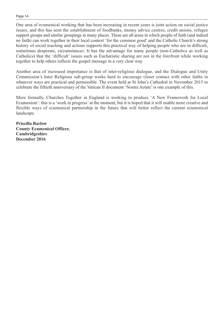One area of ecumenical working that has been increasing in recent years is joint action on social justice issues, and this has seen the establishment of foodbanks, money advice centres, credit unions, refugee support groups and similar groupings in many places. These are all areas in which people of faith (and indeed no faith) can work together in their local context 'for the common good' and the Catholic Church's strong history of social teaching and actions supports this practical way of helping people who are in difficult, sometimes desperate, circumstances. It has the advantage for many people (non-Catholics as well as Catholics) that the 'difficult' issues such as Eucharistic sharing are not in the forefront while working together to help others reflects the gospel message in a very clear way.

Another area of increased importance is that of inter-religious dialogue, and the Dialogue and Unity Commission's Inter Religious sub-group works hard to encourage closer contact with other faiths in whatever ways are practical and permissible. The event held at St John's Cathedral in November 2015 to celebrate the fiftieth anniversary of the Vatican II document 'Nostra Aetate' is one example of this.

More formally, Churches Together in England is working to produce 'A New Framework for Local Ecumenism': this is a 'work in progress' at the moment, but it is hoped that it will enable more creative and flexible ways of ecumenical partnership in the future that will better reflect the current ecumenical landscape.

**Priscilla Barlow County Ecumenical Officer, Cambridgeshire December 2016**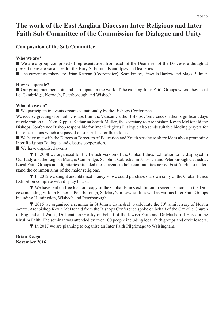# **The work of the East Anglian Diocesan Inter Religious and Inter Faith Sub Committee of the Commission for Dialogue and Unity**

# **Composition of the Sub Committee**

# **Who we are?**

■ We are a group comprised of representatives from each of the Deaneries of the Diocese, although at present there are vacancies for the Bury St Edmunds and Ipswich Deaneries.

■ The current members are Brian Keegan (Coordinator), Sean Finlay, Priscilla Barlow and Mags Bulmer.

# **How we operate?**

■ Our group members join and participate in the work of the existing Inter Faith Groups where they exist i.e. Cambridge, Norwich, Peterborough and Wisbech.

# **What do we do?**

■ We participate in events organised nationally by the Bishops Conference.

We receive greetings for Faith Groups from the Vatican via the Bishops Conference on their significant days of celebration i.e. Yom Kippur. Katharina Smith-Muller, the secretary to Archbishop Kevin McDonald the Bishops Conference Bishop responsible for Inter Religious Dialogue also sends suitable bidding prayers for these occasions which are passed onto Parishes for them to use.

■ We have met with the Diocesan Directors of Education and Youth service to share ideas about promoting Inter Religious Dialogue and discuss cooperation.

■ We have organised events.

▼ In 2008 we organised for the British Version of the Global Ethics Exhibition to be displayed in Our Lady and the English Martyrs Cambridge, St John's Cathedral in Norwich and Peterborough Cathedral. Local Faith Groups and dignitaries attended these events to help communities across East Anglia to understand the common aims of the major religions.

▼ In 2012 we sought and obtained money so we could purchase our own copy of the Global Ethics Exhibition complete with display boards.

▼ We have lent on free loan our copy of the Global Ethics exhibition to several schools in the Diocese including St John Fisher in Peterborough, St Mary's in Lowestoft as well as various Inter Faith Groups including Huntingdon, Wisbech and Peterborough.

▼ 2015 we organised a seminar in St John's Cathedral to celebrate the 50<sup>th</sup> anniversary of Nostra Aetate. Archbishop Kevin McDonald from the Bishops Conference spoke on behalf of the Catholic Church in England and Wales, Dr Jonathan Gorsky on behalf of the Jewish Faith and Dr Musharraf Hussain the Muslim Faith. The seminar was attended by over 100 people including local faith groups and civic leaders.

▼ In 2017 we are planning to organise an Inter Faith Pilgrimage to Walsingham.

# **Brian Keegan November 2016**